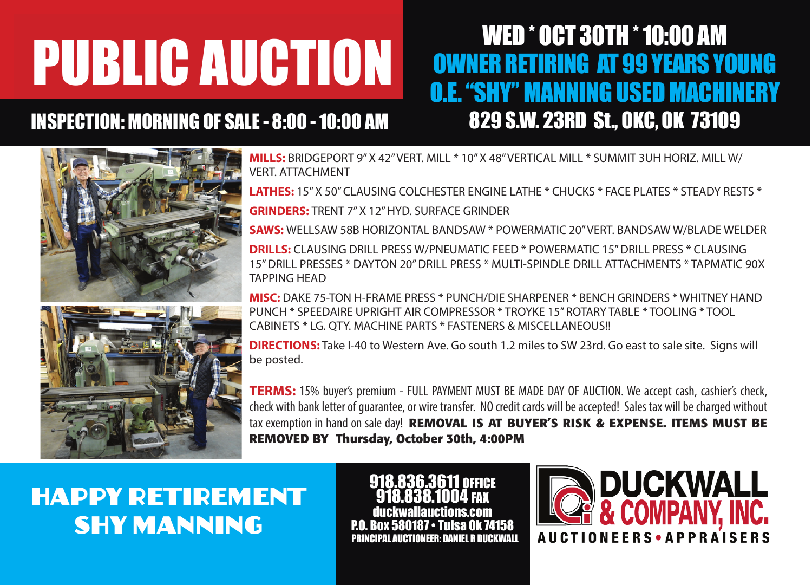# **PUBLIC AUCTION**

### INSPECTION: MORNING OF SALE - 8:00 - 10:00 AM 829 S.W. 23RD St., OKC, OK 73109



## **O.E. "SHY" MANNING USED MACHINERY** WED \* OCT 30TH \* 10:00 AM OWNER RETIRING AT 99 YEARS YOUNG

**THE PIPER SALES: BRIDGEPORT 9" X 42" VERT. MILL \* 10" X 48" VERTICAL MILL \* SUMMIT 3UH HORIZ. MILL W/** VERT. ATTACHMENT

**Example Server CLAUSING COLCHESTER ENGINE LATHE \* CHUCKS \* FACE PLATES \* STEADY RESTS \*** 

**GRINDERS:** TRENT 7" X 12" HYD. SURFACE GRINDER

**GRINDERS:** TRENT 7" X T2" HYD. SURFACE GRINDER<br>**SAWS:** WELLSAW 58B HORIZONTAL BANDSAW \* POWERMATIC 20" VERT. BANDSAW W/BLADE WELDER

**EXTREMIT SET INTERNATION CONCESSION CONCESSION CONCESSION FOR FAILURE CONCESSION WISHING THE CONCESSION CONCESSIO<br><b>DRILLS:** CLAUSING DRILL PRESS W/PNEUMATIC FEED \* POWERMATIC 15" DRILL PRESS \* CLAUSING DRILLS: CLAUSING DRILL PRESS W/PNEUMATIC FEED \* POWERMATIC 15" DRILL PRESS \* CLAUSING<br>15" DRILL PRESSES \* DAYTON 20" DRILL PRESS \* MULTI-SPINDLE DRILL ATTACHMENTS \* TAPMATIC 90X **MISCELLANEOUS:** 15,000 WATERS AND THE GENERAL SERVICE GENERAL SERVICE GENERAL SERVICE GENERAL SERVICE GENERAL SERVICE GENERAL SERVICE GENERAL SERVICE GENERAL SERVICE GENERATOR FOR SERVICE GENERAL SERVICE GENERAL SERVICE G TAPPING HEAD

**MISC:** DAKE 75-TON H-FRAME PRESS \* PUNCH/DIE SHARPENER \* BENCH GRINDERS \* WHITNEY HAND CABINETS \* LG. QTY. MACHINE PARTS \* FASTENERS & MISCELLANEOUS!!<br>PRECTIONS: Take I-40 to Western Ave. Go south 1.2 miles to SW 23rd. Go east to sale site. Signs will PUNCH \* SPEEDAIRE UPRIGHT AIR COMPRESSOR \* TROYKE 15" ROTARY TABLE \* TOOLING \* TOOL CABINETS \* LG. QTY. MACHINE PARTS \* FASTENERS & MISCELLANEOUS!!

be posted.

a be posted.<br>THE TERMS: 15% buyer's premium - FULL PAYMENT MUST BE MADE DAY OF AUCTION. We accept cash, cashier's check,  $\blacksquare$  check with bank letter of guarantee, or wire transfer. NO credit cards will be accepted! Sales tax will be charged without <sup>1</sup> tax exemption in hand on sale day! **REMOVAL IS AT BUYER'S RISK & EXPENSE. ITEMS MUST BE REMOVED BY Thursday, October 30th, 4:00PM** 

**TRIAD BANK has opened their new HAPPY RETIREMENT to light a very nice of the light of the set of the set of the set of the set of the set of the set of the set o SHY MANNING** 

918.836.3611 OFFICE 918.838.1004 FAX duckwallauctions.com P.O. Box 580187 • Tulsa PRINCIPAL AUCTIONEER: DANIEL R DUCKWALL